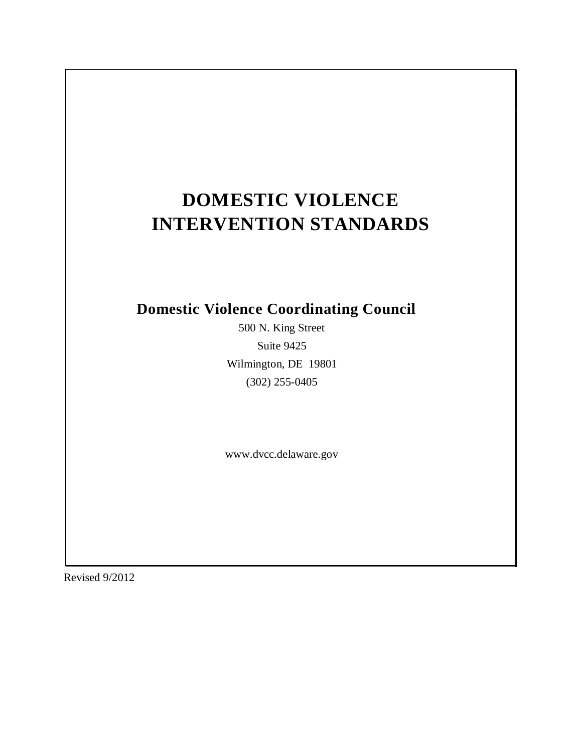# **DOMESTIC VIOLENCE INTERVENTION STANDARDS**

# **Domestic Violence Coordinating Council**

500 N. King Street Suite 9425 Wilmington, DE 19801 (302) 255-0405

www.dvcc.delaware.gov

Revised 9/2012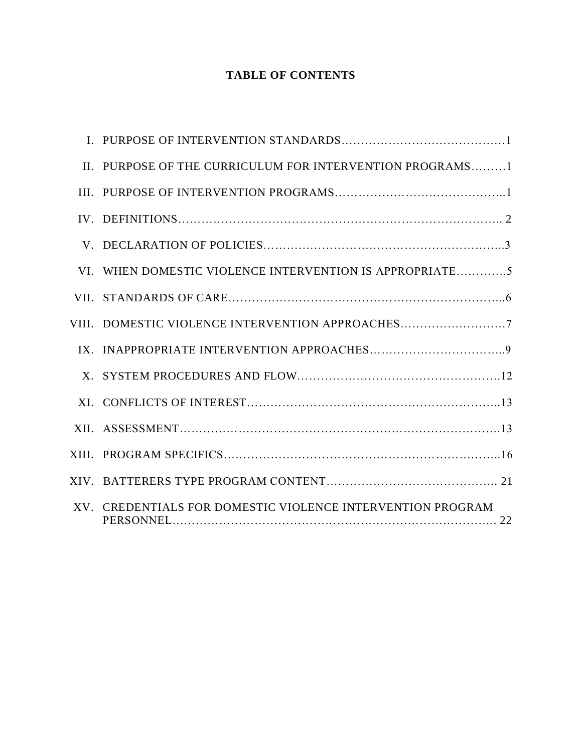# **TABLE OF CONTENTS**

|       | II. PURPOSE OF THE CURRICULUM FOR INTERVENTION PROGRAMS1   |  |
|-------|------------------------------------------------------------|--|
|       |                                                            |  |
|       |                                                            |  |
|       |                                                            |  |
| VI.   | WHEN DOMESTIC VIOLENCE INTERVENTION IS APPROPRIATE5        |  |
|       |                                                            |  |
| VIII. |                                                            |  |
|       |                                                            |  |
|       |                                                            |  |
|       |                                                            |  |
|       |                                                            |  |
|       |                                                            |  |
|       |                                                            |  |
|       | XV. CREDENTIALS FOR DOMESTIC VIOLENCE INTERVENTION PROGRAM |  |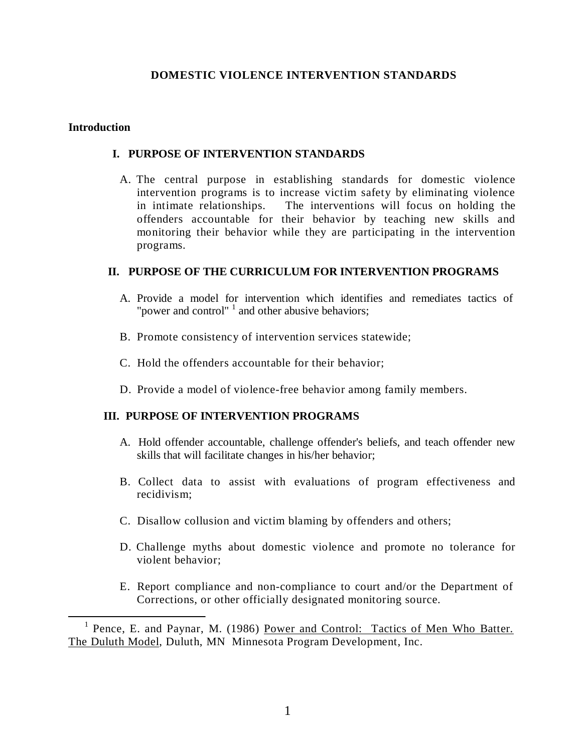# **DOMESTIC VIOLENCE INTERVENTION STANDARDS**

#### **Introduction**

#### **I. PURPOSE OF INTERVENTION STANDARDS**

A. The central purpose in establishing standards for domestic violence intervention programs is to increase victim safety by eliminating violence in intimate relationships. The interventions will focus on holding the offenders accountable for their behavior by teaching new skills and monitoring their behavior while they are participating in the intervention programs.

#### **II. PURPOSE OF THE CURRICULUM FOR INTERVENTION PROGRAMS**

- A. Provide a model for intervention which identifies and remediates tactics of "power and control"  $\frac{1}{1}$  and other abusive behaviors;
- B. Promote consistency of intervention services statewide;
- C. Hold the offenders accountable for their behavior;
- D. Provide a model of violence-free behavior among family members.

#### **III. PURPOSE OF INTERVENTION PROGRAMS**

- A. Hold offender accountable, challenge offender's beliefs, and teach offender new skills that will facilitate changes in his/her behavior;
- B. Collect data to assist with evaluations of program effectiveness and recidivism;
- C. Disallow collusion and victim blaming by offenders and others;
- D. Challenge myths about domestic violence and promote no tolerance for violent behavior;
- E. Report compliance and non-compliance to court and/or the Department of Corrections, or other officially designated monitoring source.

<sup>&</sup>lt;sup>1</sup> Pence, E. and Paynar, M. (1986) Power and Control: Tactics of Men Who Batter. The Duluth Model, Duluth, MN Minnesota Program Development, Inc.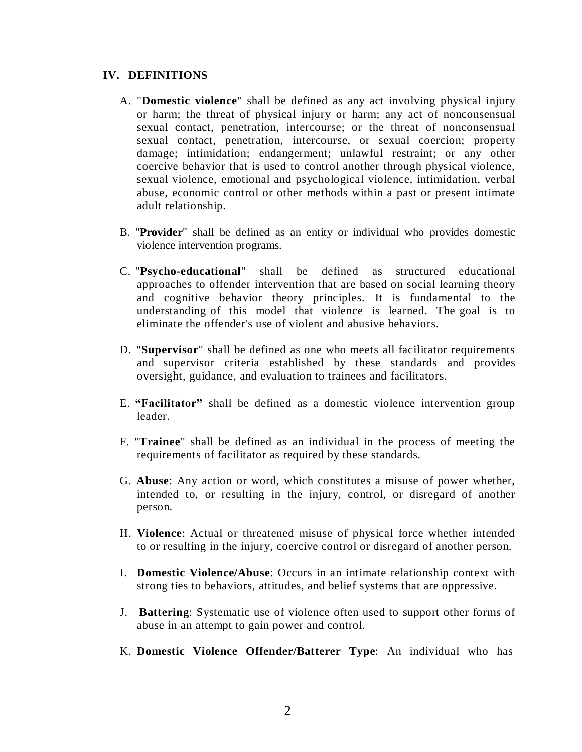#### **IV. DEFINITIONS**

- A. "**Domestic violence**" shall be defined as any act involving physical injury or harm; the threat of physical injury or harm; any act of nonconsensual sexual contact, penetration, intercourse; or the threat of nonconsensual sexual contact, penetration, intercourse, or sexual coercion; property damage; intimidation; endangerment; unlawful restraint; or any other coercive behavior that is used to control another through physical violence, sexual violence, emotional and psychological violence, intimidation, verbal abuse, economic control or other methods within a past or present intimate adult relationship.
- B. "**Provider**" shall be defined as an entity or individual who provides domestic violence intervention programs.
- C. "**Psycho-educational**" shall be defined as structured educational approaches to offender intervention that are based on social learning theory and cognitive behavior theory principles. It is fundamental to the understanding of this model that violence is learned. The goal is to eliminate the offender's use of violent and abusive behaviors.
- D. "**Supervisor**" shall be defined as one who meets all facilitator requirements and supervisor criteria established by these standards and provides oversight, guidance, and evaluation to trainees and facilitators.
- E. **"Facilitator"** shall be defined as a domestic violence intervention group leader.
- F. "**Trainee**" shall be defined as an individual in the process of meeting the requirements of facilitator as required by these standards.
- G. **Abuse**: Any action or word, which constitutes a misuse of power whether, intended to, or resulting in the injury, control, or disregard of another person.
- H. **Violence**: Actual or threatened misuse of physical force whether intended to or resulting in the injury, coercive control or disregard of another person.
- I. **Domestic Violence/Abuse**: Occurs in an intimate relationship context with strong ties to behaviors, attitudes, and belief systems that are oppressive.
- J. **Battering**: Systematic use of violence often used to support other forms of abuse in an attempt to gain power and control.
- K. **Domestic Violence Offender/Batterer Type**: An individual who has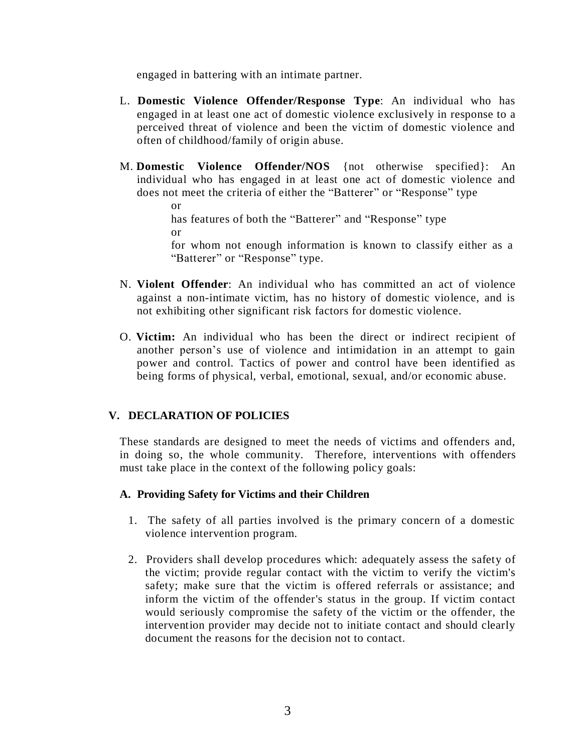engaged in battering with an intimate partner.

- L. **Domestic Violence Offender/Response Type**: An individual who has engaged in at least one act of domestic violence exclusively in response to a perceived threat of violence and been the victim of domestic violence and often of childhood/family of origin abuse.
- M. **Domestic Violence Offender/NOS** {not otherwise specified}: An individual who has engaged in at least one act of domestic violence and does not meet the criteria of either the "Batterer" or "Response" type

or has features of both the "Batterer" and "Response" type or for whom not enough information is known to classify either as a

"Batterer" or "Response" type.

- N. **Violent Offender**: An individual who has committed an act of violence against a non-intimate victim, has no history of domestic violence, and is not exhibiting other significant risk factors for domestic violence.
- O. **Victim:** An individual who has been the direct or indirect recipient of another person's use of violence and intimidation in an attempt to gain power and control. Tactics of power and control have been identified as being forms of physical, verbal, emotional, sexual, and/or economic abuse.

# **V. DECLARATION OF POLICIES**

These standards are designed to meet the needs of victims and offenders and, in doing so, the whole community. Therefore, interventions with offenders must take place in the context of the following policy goals:

# **A. Providing Safety for Victims and their Children**

- 1. The safety of all parties involved is the primary concern of a domestic violence intervention program.
- 2. Providers shall develop procedures which: adequately assess the safety of the victim; provide regular contact with the victim to verify the victim's safety; make sure that the victim is offered referrals or assistance; and inform the victim of the offender's status in the group. If victim contact would seriously compromise the safety of the victim or the offender, the intervention provider may decide not to initiate contact and should clearly document the reasons for the decision not to contact.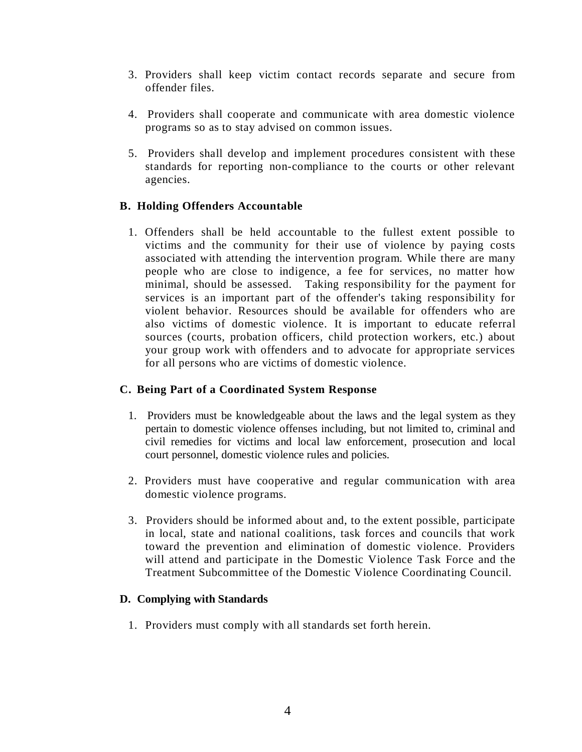- 3. Providers shall keep victim contact records separate and secure from offender files.
- 4. Providers shall cooperate and communicate with area domestic violence programs so as to stay advised on common issues.
- 5. Providers shall develop and implement procedures consistent with these standards for reporting non-compliance to the courts or other relevant agencies.

# **B. Holding Offenders Accountable**

1. Offenders shall be held accountable to the fullest extent possible to victims and the community for their use of violence by paying costs associated with attending the intervention program. While there are many people who are close to indigence, a fee for services, no matter how minimal, should be assessed. Taking responsibility for the payment for services is an important part of the offender's taking responsibility for violent behavior. Resources should be available for offenders who are also victims of domestic violence. It is important to educate referral sources (courts, probation officers, child protection workers, etc.) about your group work with offenders and to advocate for appropriate services for all persons who are victims of domestic violence.

# **C. Being Part of a Coordinated System Response**

- 1. Providers must be knowledgeable about the laws and the legal system as they pertain to domestic violence offenses including, but not limited to, criminal and civil remedies for victims and local law enforcement, prosecution and local court personnel, domestic violence rules and policies.
- 2. Providers must have cooperative and regular communication with area domestic violence programs.
- 3. Providers should be informed about and, to the extent possible, participate in local, state and national coalitions, task forces and councils that work toward the prevention and elimination of domestic violence. Providers will attend and participate in the Domestic Violence Task Force and the Treatment Subcommittee of the Domestic Violence Coordinating Council.

# **D. Complying with Standards**

1. Providers must comply with all standards set forth herein.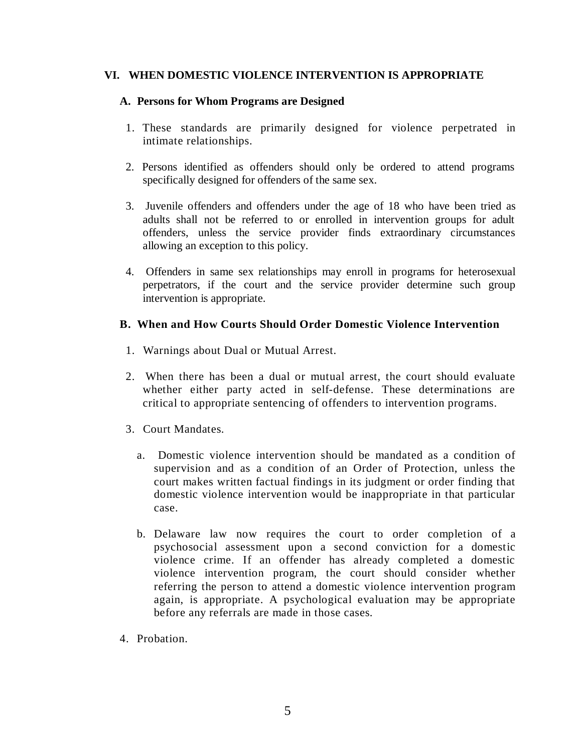# **VI. WHEN DOMESTIC VIOLENCE INTERVENTION IS APPROPRIATE**

#### **A. Persons for Whom Programs are Designed**

- 1. These standards are primarily designed for violence perpetrated in intimate relationships.
- 2. Persons identified as offenders should only be ordered to attend programs specifically designed for offenders of the same sex.
- 3. Juvenile offenders and offenders under the age of 18 who have been tried as adults shall not be referred to or enrolled in intervention groups for adult offenders, unless the service provider finds extraordinary circumstances allowing an exception to this policy.
- 4. Offenders in same sex relationships may enroll in programs for heterosexual perpetrators, if the court and the service provider determine such group intervention is appropriate.

# **B. When and How Courts Should Order Domestic Violence Intervention**

- 1. Warnings about Dual or Mutual Arrest.
- 2. When there has been a dual or mutual arrest, the court should evaluate whether either party acted in self-defense. These determinations are critical to appropriate sentencing of offenders to intervention programs.
- 3. Court Mandates.
	- a. Domestic violence intervention should be mandated as a condition of supervision and as a condition of an Order of Protection, unless the court makes written factual findings in its judgment or order finding that domestic violence intervention would be inappropriate in that particular case.
	- b. Delaware law now requires the court to order completion of a psychosocial assessment upon a second conviction for a domestic violence crime. If an offender has already completed a domestic violence intervention program, the court should consider whether referring the person to attend a domestic violence intervention program again, is appropriate. A psychological evaluation may be appropriate before any referrals are made in those cases.
- 4. Probation.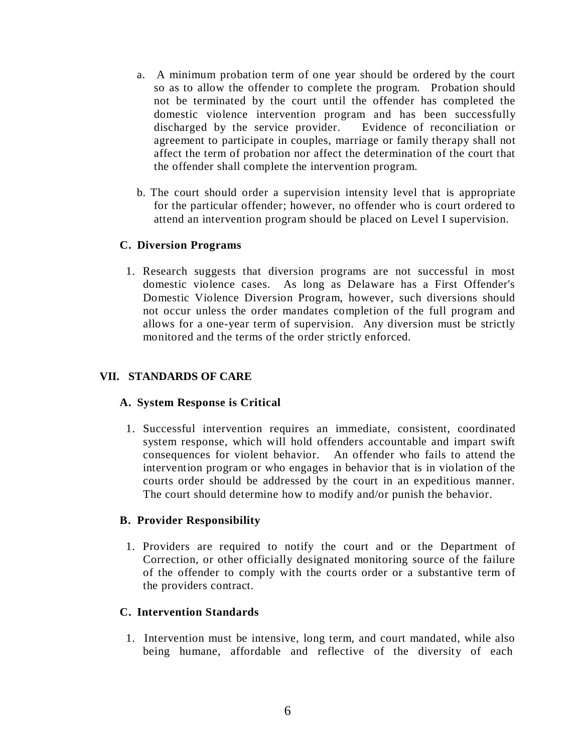- a. A minimum probation term of one year should be ordered by the court so as to allow the offender to complete the program. Probation should not be terminated by the court until the offender has completed the domestic violence intervention program and has been successfully discharged by the service provider. Evidence of reconciliation or agreement to participate in couples, marriage or family therapy shall not affect the term of probation nor affect the determination of the court that the offender shall complete the intervention program.
- b. The court should order a supervision intensity level that is appropriate for the particular offender; however, no offender who is court ordered to attend an intervention program should be placed on Level I supervision.

# **C. Diversion Programs**

1. Research suggests that diversion programs are not successful in most domestic violence cases. As long as Delaware has a First Offender's Domestic Violence Diversion Program, however, such diversions should not occur unless the order mandates completion of the full program and allows for a one-year term of supervision. Any diversion must be strictly monitored and the terms of the order strictly enforced.

# **VII. STANDARDS OF CARE**

#### **A. System Response is Critical**

1. Successful intervention requires an immediate, consistent, coordinated system response, which will hold offenders accountable and impart swift consequences for violent behavior. An offender who fails to attend the intervention program or who engages in behavior that is in violation of the courts order should be addressed by the court in an expeditious manner. The court should determine how to modify and/or punish the behavior.

#### **B. Provider Responsibility**

1. Providers are required to notify the court and or the Department of Correction, or other officially designated monitoring source of the failure of the offender to comply with the courts order or a substantive term of the providers contract.

# **C. Intervention Standards**

1. Intervention must be intensive, long term, and court mandated, while also being humane, affordable and reflective of the diversity of each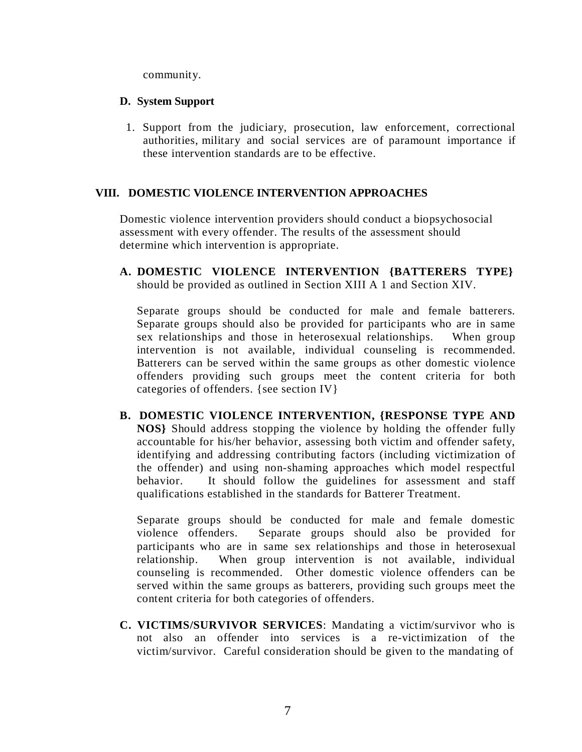community.

# **D. System Support**

1. Support from the judiciary, prosecution, law enforcement, correctional authorities, military and social services are of paramount importance if these intervention standards are to be effective.

# **VIII. DOMESTIC VIOLENCE INTERVENTION APPROACHES**

Domestic violence intervention providers should conduct a biopsychosocial assessment with every offender. The results of the assessment should determine which intervention is appropriate.

**A. DOMESTIC VIOLENCE INTERVENTION {BATTERERS TYPE}** should be provided as outlined in Section XIII A 1 and Section XIV.

Separate groups should be conducted for male and female batterers. Separate groups should also be provided for participants who are in same sex relationships and those in heterosexual relationships. When group intervention is not available, individual counseling is recommended. Batterers can be served within the same groups as other domestic violence offenders providing such groups meet the content criteria for both categories of offenders. {see section IV}

**B. DOMESTIC VIOLENCE INTERVENTION, {RESPONSE TYPE AND NOS}** Should address stopping the violence by holding the offender fully accountable for his/her behavior, assessing both victim and offender safety, identifying and addressing contributing factors (including victimization of the offender) and using non-shaming approaches which model respectful behavior. It should follow the guidelines for assessment and staff qualifications established in the standards for Batterer Treatment.

Separate groups should be conducted for male and female domestic violence offenders. Separate groups should also be provided for participants who are in same sex relationships and those in heterosexual relationship. When group intervention is not available, individual counseling is recommended. Other domestic violence offenders can be served within the same groups as batterers, providing such groups meet the content criteria for both categories of offenders.

**C. VICTIMS/SURVIVOR SERVICES**: Mandating a victim/survivor who is not also an offender into services is a re-victimization of the victim/survivor. Careful consideration should be given to the mandating of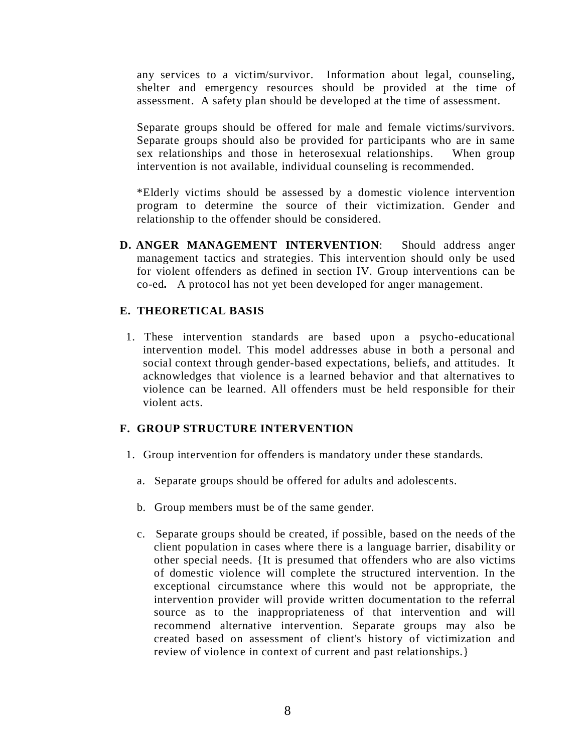any services to a victim/survivor. Information about legal, counseling, shelter and emergency resources should be provided at the time of assessment. A safety plan should be developed at the time of assessment.

Separate groups should be offered for male and female victims/survivors. Separate groups should also be provided for participants who are in same sex relationships and those in heterosexual relationships. When group intervention is not available, individual counseling is recommended.

\*Elderly victims should be assessed by a domestic violence intervention program to determine the source of their victimization. Gender and relationship to the offender should be considered.

**D. ANGER MANAGEMENT INTERVENTION**: Should address anger management tactics and strategies. This intervention should only be used for violent offenders as defined in section IV. Group interventions can be co-ed*.* A protocol has not yet been developed for anger management.

# **E. THEORETICAL BASIS**

1. These intervention standards are based upon a psycho-educational intervention model. This model addresses abuse in both a personal and social context through gender-based expectations, beliefs, and attitudes. It acknowledges that violence is a learned behavior and that alternatives to violence can be learned. All offenders must be held responsible for their violent acts.

#### **F. GROUP STRUCTURE INTERVENTION**

- 1. Group intervention for offenders is mandatory under these standards.
	- a. Separate groups should be offered for adults and adolescents.
	- b. Group members must be of the same gender.
	- c. Separate groups should be created, if possible, based on the needs of the client population in cases where there is a language barrier, disability or other special needs. {It is presumed that offenders who are also victims of domestic violence will complete the structured intervention. In the exceptional circumstance where this would not be appropriate, the intervention provider will provide written documentation to the referral source as to the inappropriateness of that intervention and will recommend alternative intervention. Separate groups may also be created based on assessment of client's history of victimization and review of violence in context of current and past relationships.}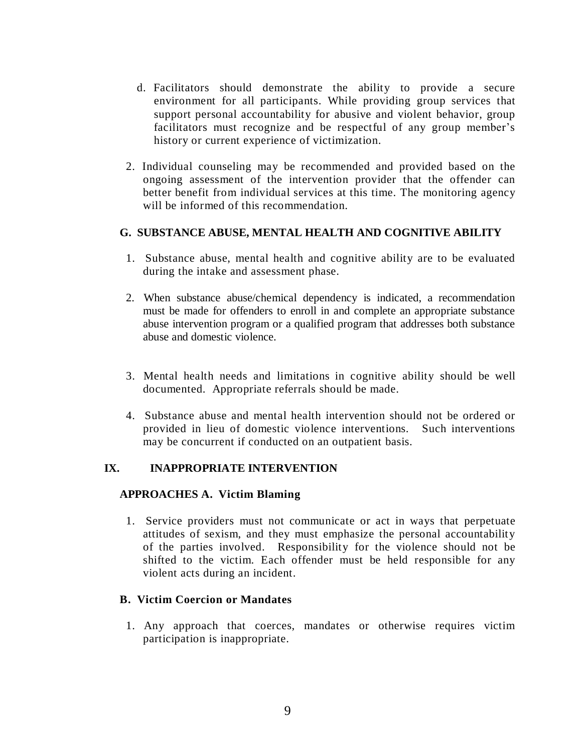- d. Facilitators should demonstrate the ability to provide a secure environment for all participants. While providing group services that support personal accountability for abusive and violent behavior, group facilitators must recognize and be respectful of any group member's history or current experience of victimization.
- 2. Individual counseling may be recommended and provided based on the ongoing assessment of the intervention provider that the offender can better benefit from individual services at this time. The monitoring agency will be informed of this recommendation.

# **G. SUBSTANCE ABUSE, MENTAL HEALTH AND COGNITIVE ABILITY**

- 1. Substance abuse, mental health and cognitive ability are to be evaluated during the intake and assessment phase.
- 2. When substance abuse/chemical dependency is indicated, a recommendation must be made for offenders to enroll in and complete an appropriate substance abuse intervention program or a qualified program that addresses both substance abuse and domestic violence.
- 3. Mental health needs and limitations in cognitive ability should be well documented. Appropriate referrals should be made.
- 4. Substance abuse and mental health intervention should not be ordered or provided in lieu of domestic violence interventions. Such interventions may be concurrent if conducted on an outpatient basis.

# **IX. INAPPROPRIATE INTERVENTION**

#### **APPROACHES A. Victim Blaming**

1. Service providers must not communicate or act in ways that perpetuate attitudes of sexism, and they must emphasize the personal accountability of the parties involved. Responsibility for the violence should not be shifted to the victim. Each offender must be held responsible for any violent acts during an incident.

#### **B. Victim Coercion or Mandates**

1. Any approach that coerces, mandates or otherwise requires victim participation is inappropriate.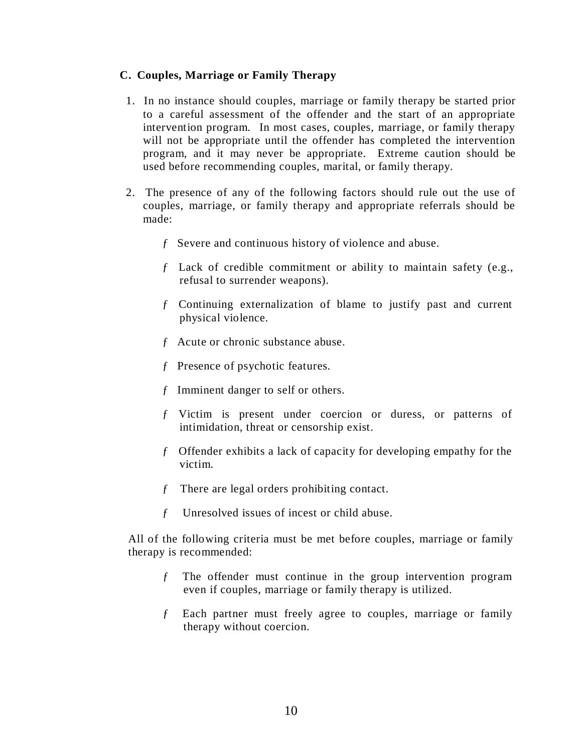# **C. Couples, Marriage or Family Therapy**

- 1. In no instance should couples, marriage or family therapy be started prior to a careful assessment of the offender and the start of an appropriate intervention program. In most cases, couples, marriage, or family therapy will not be appropriate until the offender has completed the intervention program, and it may never be appropriate. Extreme caution should be used before recommending couples, marital, or family therapy.
- 2. The presence of any of the following factors should rule out the use of couples, marriage, or family therapy and appropriate referrals should be made:
	- ƒ Severe and continuous history of violence and abuse.
	- ƒ Lack of credible commitment or ability to maintain safety (e.g., refusal to surrender weapons).
	- ƒ Continuing externalization of blame to justify past and current physical violence.
	- ƒ Acute or chronic substance abuse.
	- ƒ Presence of psychotic features.
	- ƒ Imminent danger to self or others.
	- ƒ Victim is present under coercion or duress, or patterns of intimidation, threat or censorship exist.
	- ƒ Offender exhibits a lack of capacity for developing empathy for the victim.
	- ƒ There are legal orders prohibiting contact.
	- ƒ Unresolved issues of incest or child abuse.

All of the following criteria must be met before couples, marriage or family therapy is recommended:

- ƒ The offender must continue in the group intervention program even if couples, marriage or family therapy is utilized.
- ƒ Each partner must freely agree to couples, marriage or family therapy without coercion.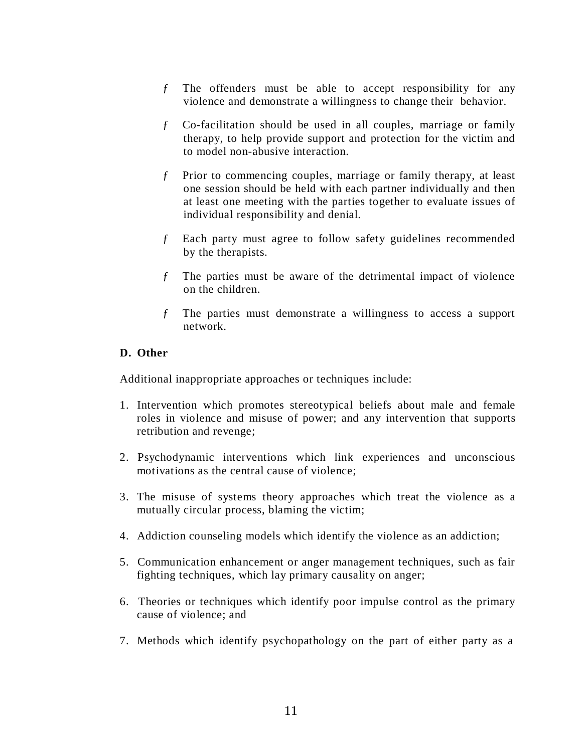- ƒ The offenders must be able to accept responsibility for any violence and demonstrate a willingness to change their behavior.
- ƒ Co-facilitation should be used in all couples, marriage or family therapy, to help provide support and protection for the victim and to model non-abusive interaction.
- ƒ Prior to commencing couples, marriage or family therapy, at least one session should be held with each partner individually and then at least one meeting with the parties together to evaluate issues of individual responsibility and denial.
- ƒ Each party must agree to follow safety guidelines recommended by the therapists.
- ƒ The parties must be aware of the detrimental impact of violence on the children.
- ƒ The parties must demonstrate a willingness to access a support network.

# **D. Other**

Additional inappropriate approaches or techniques include:

- 1. Intervention which promotes stereotypical beliefs about male and female roles in violence and misuse of power; and any intervention that supports retribution and revenge;
- 2. Psychodynamic interventions which link experiences and unconscious motivations as the central cause of violence;
- 3. The misuse of systems theory approaches which treat the violence as a mutually circular process, blaming the victim;
- 4. Addiction counseling models which identify the violence as an addiction;
- 5. Communication enhancement or anger management techniques, such as fair fighting techniques, which lay primary causality on anger;
- 6. Theories or techniques which identify poor impulse control as the primary cause of violence; and
- 7. Methods which identify psychopathology on the part of either party as a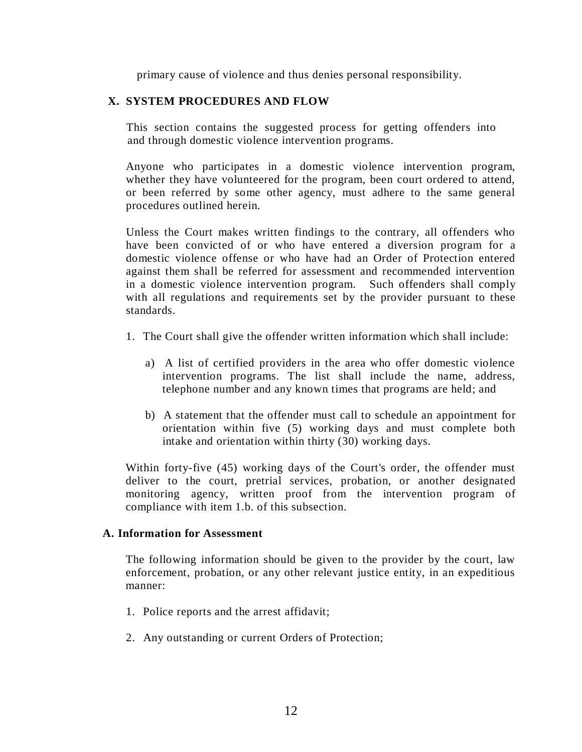primary cause of violence and thus denies personal responsibility.

# **X. SYSTEM PROCEDURES AND FLOW**

 This section contains the suggested process for getting offenders into and through domestic violence intervention programs.

Anyone who participates in a domestic violence intervention program, whether they have volunteered for the program, been court ordered to attend, or been referred by some other agency, must adhere to the same general procedures outlined herein.

Unless the Court makes written findings to the contrary, all offenders who have been convicted of or who have entered a diversion program for a domestic violence offense or who have had an Order of Protection entered against them shall be referred for assessment and recommended intervention in a domestic violence intervention program. Such offenders shall comply with all regulations and requirements set by the provider pursuant to these standards.

- 1. The Court shall give the offender written information which shall include:
	- a) A list of certified providers in the area who offer domestic violence intervention programs. The list shall include the name, address, telephone number and any known times that programs are held; and
	- b) A statement that the offender must call to schedule an appointment for orientation within five (5) working days and must complete both intake and orientation within thirty (30) working days.

Within forty-five (45) working days of the Court's order, the offender must deliver to the court, pretrial services, probation, or another designated monitoring agency, written proof from the intervention program of compliance with item 1.b. of this subsection.

#### **A. Information for Assessment**

The following information should be given to the provider by the court, law enforcement, probation, or any other relevant justice entity, in an expeditious manner:

- 1. Police reports and the arrest affidavit;
- 2. Any outstanding or current Orders of Protection;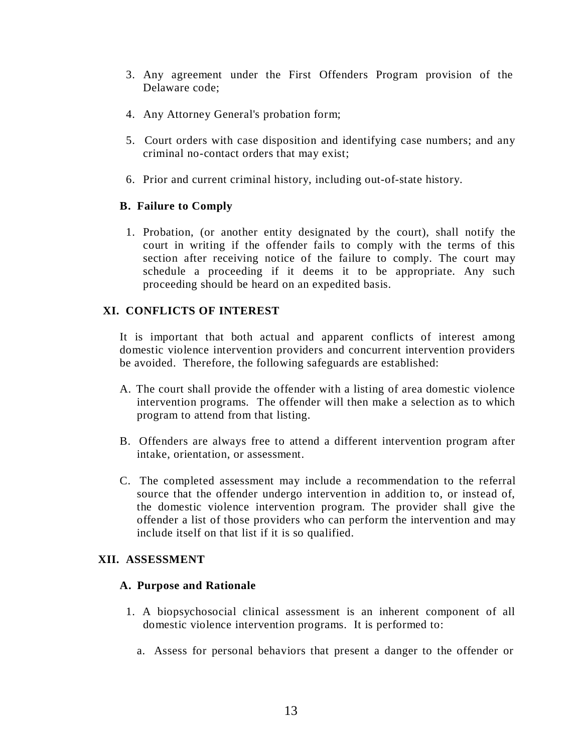- 3. Any agreement under the First Offenders Program provision of the Delaware code;
- 4. Any Attorney General's probation form;
- 5. Court orders with case disposition and identifying case numbers; and any criminal no-contact orders that may exist;
- 6. Prior and current criminal history, including out-of-state history.

# **B. Failure to Comply**

1. Probation, (or another entity designated by the court), shall notify the court in writing if the offender fails to comply with the terms of this section after receiving notice of the failure to comply. The court may schedule a proceeding if it deems it to be appropriate. Any such proceeding should be heard on an expedited basis.

# **XI. CONFLICTS OF INTEREST**

It is important that both actual and apparent conflicts of interest among domestic violence intervention providers and concurrent intervention providers be avoided. Therefore, the following safeguards are established:

- A. The court shall provide the offender with a listing of area domestic violence intervention programs. The offender will then make a selection as to which program to attend from that listing.
- B. Offenders are always free to attend a different intervention program after intake, orientation, or assessment.
- C. The completed assessment may include a recommendation to the referral source that the offender undergo intervention in addition to, or instead of, the domestic violence intervention program. The provider shall give the offender a list of those providers who can perform the intervention and may include itself on that list if it is so qualified.

#### **XII. ASSESSMENT**

#### **A. Purpose and Rationale**

- 1. A biopsychosocial clinical assessment is an inherent component of all domestic violence intervention programs. It is performed to:
	- a. Assess for personal behaviors that present a danger to the offender or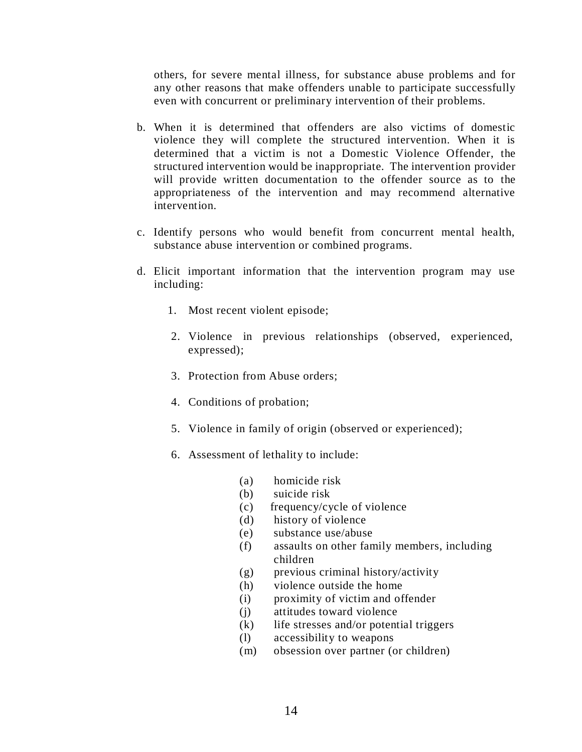others, for severe mental illness, for substance abuse problems and for any other reasons that make offenders unable to participate successfully even with concurrent or preliminary intervention of their problems.

- b. When it is determined that offenders are also victims of domestic violence they will complete the structured intervention. When it is determined that a victim is not a Domestic Violence Offender, the structured intervention would be inappropriate. The intervention provider will provide written documentation to the offender source as to the appropriateness of the intervention and may recommend alternative intervention.
- c. Identify persons who would benefit from concurrent mental health, substance abuse intervention or combined programs.
- d. Elicit important information that the intervention program may use including:
	- 1. Most recent violent episode;
	- 2. Violence in previous relationships (observed, experienced, expressed);
	- 3. Protection from Abuse orders;
	- 4. Conditions of probation;
	- 5. Violence in family of origin (observed or experienced);
	- 6. Assessment of lethality to include:
		- (a) homicide risk
		- (b) suicide risk
		- (c) frequency/cycle of violence
		- (d) history of violence
		- (e) substance use/abuse
		- (f) assaults on other family members, including children
		- (g) previous criminal history/activity
		- (h) violence outside the home
		- (i) proximity of victim and offender
		- (j) attitudes toward violence
		- (k) life stresses and/or potential triggers
		- (l) accessibility to weapons
		- (m) obsession over partner (or children)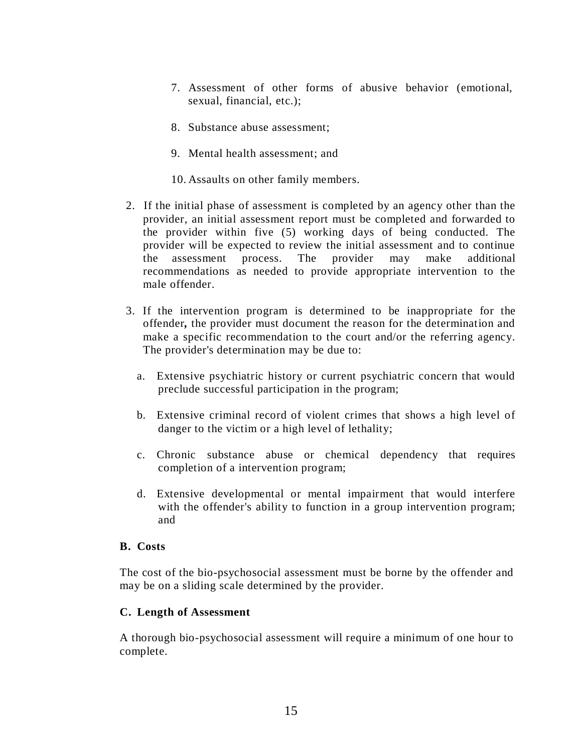- 7. Assessment of other forms of abusive behavior (emotional, sexual, financial, etc.);
- 8. Substance abuse assessment;
- 9. Mental health assessment; and
- 10. Assaults on other family members.
- 2. If the initial phase of assessment is completed by an agency other than the provider, an initial assessment report must be completed and forwarded to the provider within five (5) working days of being conducted. The provider will be expected to review the initial assessment and to continue the assessment process. The provider may make additional recommendations as needed to provide appropriate intervention to the male offender.
- 3. If the intervention program is determined to be inappropriate for the offender*,* the provider must document the reason for the determination and make a specific recommendation to the court and/or the referring agency. The provider's determination may be due to:
	- a. Extensive psychiatric history or current psychiatric concern that would preclude successful participation in the program;
	- b. Extensive criminal record of violent crimes that shows a high level of danger to the victim or a high level of lethality;
	- c. Chronic substance abuse or chemical dependency that requires completion of a intervention program;
	- d. Extensive developmental or mental impairment that would interfere with the offender's ability to function in a group intervention program; and

#### **B. Costs**

The cost of the bio-psychosocial assessment must be borne by the offender and may be on a sliding scale determined by the provider.

# **C. Length of Assessment**

A thorough bio-psychosocial assessment will require a minimum of one hour to complete.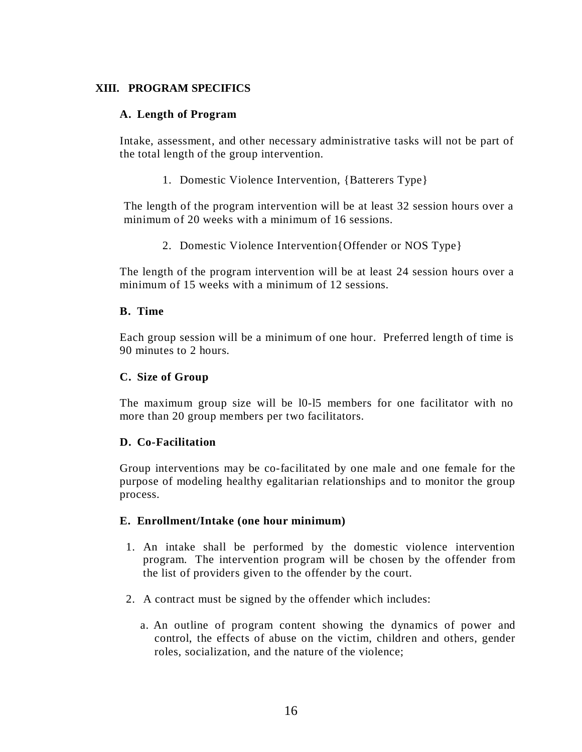# **XIII. PROGRAM SPECIFICS**

# **A. Length of Program**

Intake, assessment, and other necessary administrative tasks will not be part of the total length of the group intervention.

1. Domestic Violence Intervention, {Batterers Type}

The length of the program intervention will be at least 32 session hours over a minimum of 20 weeks with a minimum of 16 sessions.

2. Domestic Violence Intervention{Offender or NOS Type}

The length of the program intervention will be at least 24 session hours over a minimum of 15 weeks with a minimum of 12 sessions.

#### **B. Time**

Each group session will be a minimum of one hour. Preferred length of time is 90 minutes to 2 hours.

# **C. Size of Group**

The maximum group size will be l0-l5 members for one facilitator with no more than 20 group members per two facilitators.

#### **D. Co-Facilitation**

Group interventions may be co-facilitated by one male and one female for the purpose of modeling healthy egalitarian relationships and to monitor the group process.

#### **E. Enrollment/Intake (one hour minimum)**

- 1. An intake shall be performed by the domestic violence intervention program. The intervention program will be chosen by the offender from the list of providers given to the offender by the court.
- 2. A contract must be signed by the offender which includes:
	- a. An outline of program content showing the dynamics of power and control, the effects of abuse on the victim, children and others, gender roles, socialization, and the nature of the violence;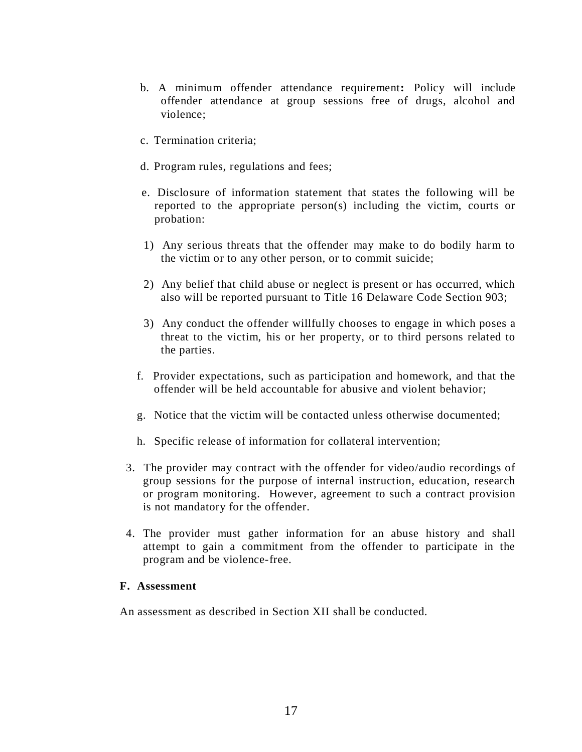- b. A minimum offender attendance requirement**:** Policy will include offender attendance at group sessions free of drugs, alcohol and violence;
- c. Termination criteria;
- d. Program rules, regulations and fees;
- e. Disclosure of information statement that states the following will be reported to the appropriate person(s) including the victim, courts or probation:
- 1) Any serious threats that the offender may make to do bodily harm to the victim or to any other person, or to commit suicide;
- 2) Any belief that child abuse or neglect is present or has occurred, which also will be reported pursuant to Title 16 Delaware Code Section 903;
- 3) Any conduct the offender willfully chooses to engage in which poses a threat to the victim, his or her property, or to third persons related to the parties.
- f. Provider expectations, such as participation and homework, and that the offender will be held accountable for abusive and violent behavior;
- g. Notice that the victim will be contacted unless otherwise documented;
- h. Specific release of information for collateral intervention;
- 3. The provider may contract with the offender for video/audio recordings of group sessions for the purpose of internal instruction, education, research or program monitoring. However, agreement to such a contract provision is not mandatory for the offender.
- 4. The provider must gather information for an abuse history and shall attempt to gain a commitment from the offender to participate in the program and be violence-free.

# **F. Assessment**

An assessment as described in Section XII shall be conducted.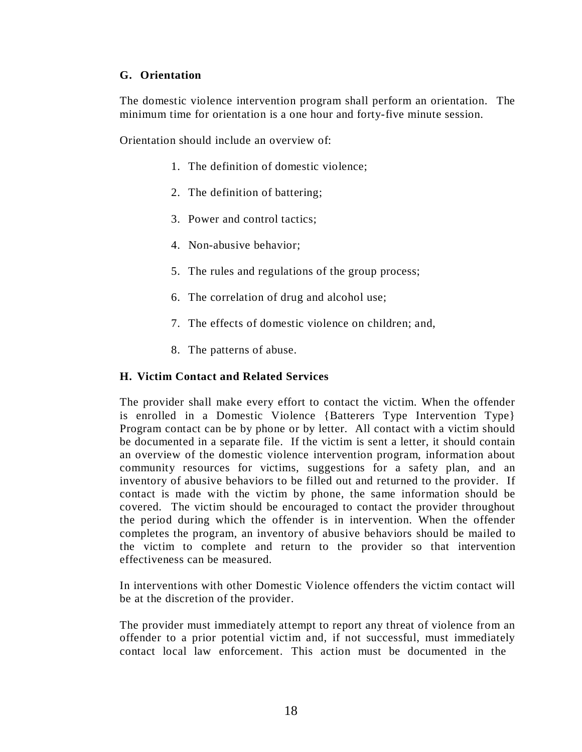# **G. Orientation**

The domestic violence intervention program shall perform an orientation. The minimum time for orientation is a one hour and forty-five minute session.

Orientation should include an overview of:

- 1. The definition of domestic violence;
- 2. The definition of battering;
- 3. Power and control tactics;
- 4. Non-abusive behavior;
- 5. The rules and regulations of the group process;
- 6. The correlation of drug and alcohol use;
- 7. The effects of domestic violence on children; and,
- 8. The patterns of abuse.

# **H. Victim Contact and Related Services**

The provider shall make every effort to contact the victim. When the offender is enrolled in a Domestic Violence {Batterers Type Intervention Type} Program contact can be by phone or by letter. All contact with a victim should be documented in a separate file. If the victim is sent a letter, it should contain an overview of the domestic violence intervention program, information about community resources for victims, suggestions for a safety plan, and an inventory of abusive behaviors to be filled out and returned to the provider. If contact is made with the victim by phone, the same information should be covered. The victim should be encouraged to contact the provider throughout the period during which the offender is in intervention. When the offender completes the program, an inventory of abusive behaviors should be mailed to the victim to complete and return to the provider so that intervention effectiveness can be measured.

In interventions with other Domestic Violence offenders the victim contact will be at the discretion of the provider.

The provider must immediately attempt to report any threat of violence from an offender to a prior potential victim and, if not successful, must immediately contact local law enforcement. This action must be documented in the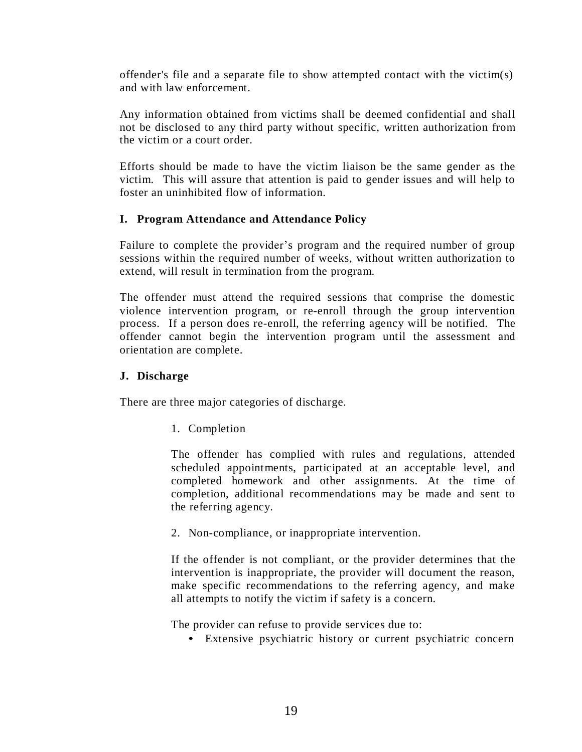offender's file and a separate file to show attempted contact with the victim(s) and with law enforcement.

Any information obtained from victims shall be deemed confidential and shall not be disclosed to any third party without specific, written authorization from the victim or a court order.

Efforts should be made to have the victim liaison be the same gender as the victim. This will assure that attention is paid to gender issues and will help to foster an uninhibited flow of information.

# **I. Program Attendance and Attendance Policy**

Failure to complete the provider's program and the required number of group sessions within the required number of weeks, without written authorization to extend, will result in termination from the program.

The offender must attend the required sessions that comprise the domestic violence intervention program, or re-enroll through the group intervention process. If a person does re-enroll, the referring agency will be notified. The offender cannot begin the intervention program until the assessment and orientation are complete.

# **J. Discharge**

There are three major categories of discharge.

1. Completion

The offender has complied with rules and regulations, attended scheduled appointments, participated at an acceptable level, and completed homework and other assignments. At the time of completion, additional recommendations may be made and sent to the referring agency.

2. Non-compliance, or inappropriate intervention.

If the offender is not compliant, or the provider determines that the intervention is inappropriate, the provider will document the reason, make specific recommendations to the referring agency, and make all attempts to notify the victim if safety is a concern.

The provider can refuse to provide services due to:

• Extensive psychiatric history or current psychiatric concern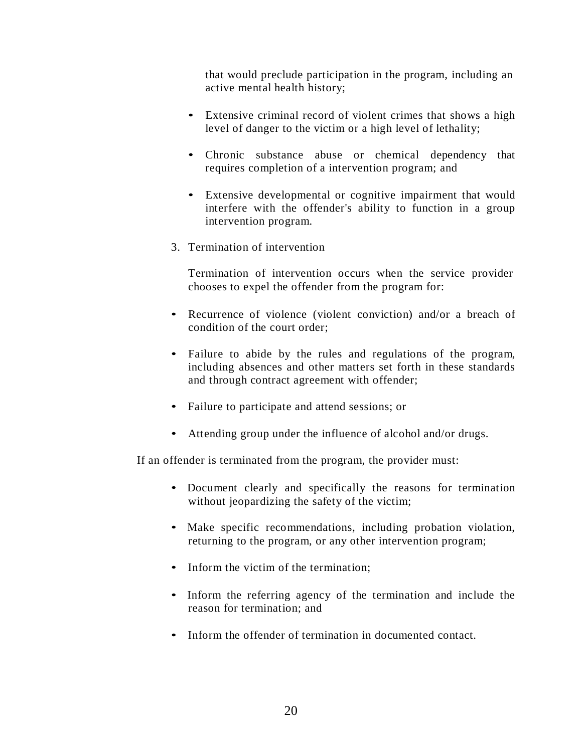that would preclude participation in the program, including an active mental health history;

- Extensive criminal record of violent crimes that shows a high level of danger to the victim or a high level of lethality;
- Chronic substance abuse or chemical dependency that requires completion of a intervention program; and
- Extensive developmental or cognitive impairment that would interfere with the offender's ability to function in a group intervention program.
- 3. Termination of intervention

Termination of intervention occurs when the service provider chooses to expel the offender from the program for:

- Recurrence of violence (violent conviction) and/or a breach of condition of the court order;
- Failure to abide by the rules and regulations of the program, including absences and other matters set forth in these standards and through contract agreement with offender;
- Failure to participate and attend sessions; or
- Attending group under the influence of alcohol and/or drugs.

If an offender is terminated from the program, the provider must:

- Document clearly and specifically the reasons for termination without jeopardizing the safety of the victim;
- Make specific recommendations, including probation violation, returning to the program, or any other intervention program;
- Inform the victim of the termination:
- Inform the referring agency of the termination and include the reason for termination; and
- Inform the offender of termination in documented contact.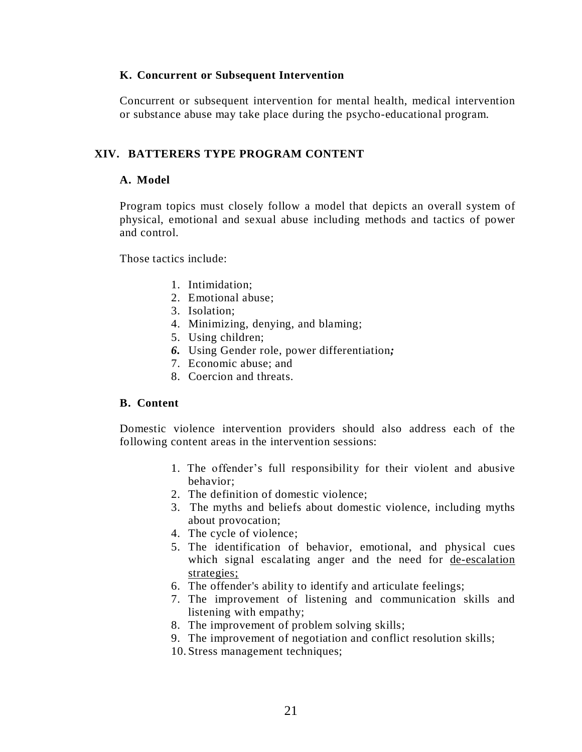# **K. Concurrent or Subsequent Intervention**

Concurrent or subsequent intervention for mental health, medical intervention or substance abuse may take place during the psycho-educational program.

# **XIV. BATTERERS TYPE PROGRAM CONTENT**

# **A. Model**

Program topics must closely follow a model that depicts an overall system of physical, emotional and sexual abuse including methods and tactics of power and control.

Those tactics include:

- 1. Intimidation;
- 2. Emotional abuse;
- 3. Isolation;
- 4. Minimizing, denying, and blaming;
- 5. Using children;
- *6.* Using Gender role, power differentiation*;*
- 7. Economic abuse; and
- 8. Coercion and threats.

#### **B. Content**

Domestic violence intervention providers should also address each of the following content areas in the intervention sessions:

- 1. The offender's full responsibility for their violent and abusive behavior;
- 2. The definition of domestic violence;
- 3. The myths and beliefs about domestic violence, including myths about provocation;
- 4. The cycle of violence;
- 5. The identification of behavior, emotional, and physical cues which signal escalating anger and the need for <u>de-escalation</u> strategies;
- 6. The offender's ability to identify and articulate feelings;
- 7. The improvement of listening and communication skills and listening with empathy;
- 8. The improvement of problem solving skills;
- 9. The improvement of negotiation and conflict resolution skills;
- 10. Stress management techniques;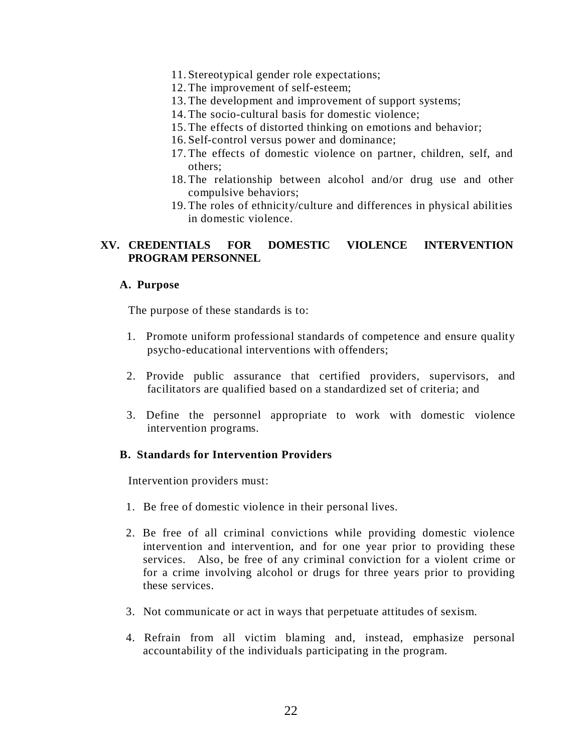- 11. Stereotypical gender role expectations;
- 12. The improvement of self-esteem;
- 13. The development and improvement of support systems;
- 14. The socio-cultural basis for domestic violence;
- 15. The effects of distorted thinking on emotions and behavior;
- 16. Self-control versus power and dominance;
- 17. The effects of domestic violence on partner, children, self, and others;
- 18. The relationship between alcohol and/or drug use and other compulsive behaviors;
- 19. The roles of ethnicity/culture and differences in physical abilities in domestic violence.

# **XV. CREDENTIALS FOR DOMESTIC VIOLENCE INTERVENTION PROGRAM PERSONNEL**

#### **A. Purpose**

The purpose of these standards is to:

- 1. Promote uniform professional standards of competence and ensure quality psycho-educational interventions with offenders;
- 2. Provide public assurance that certified providers, supervisors, and facilitators are qualified based on a standardized set of criteria; and
- 3. Define the personnel appropriate to work with domestic violence intervention programs.

#### **B. Standards for Intervention Providers**

Intervention providers must:

- 1. Be free of domestic violence in their personal lives.
- 2. Be free of all criminal convictions while providing domestic violence intervention and intervention, and for one year prior to providing these services. Also, be free of any criminal conviction for a violent crime or for a crime involving alcohol or drugs for three years prior to providing these services.
- 3. Not communicate or act in ways that perpetuate attitudes of sexism.
- 4. Refrain from all victim blaming and, instead, emphasize personal accountability of the individuals participating in the program.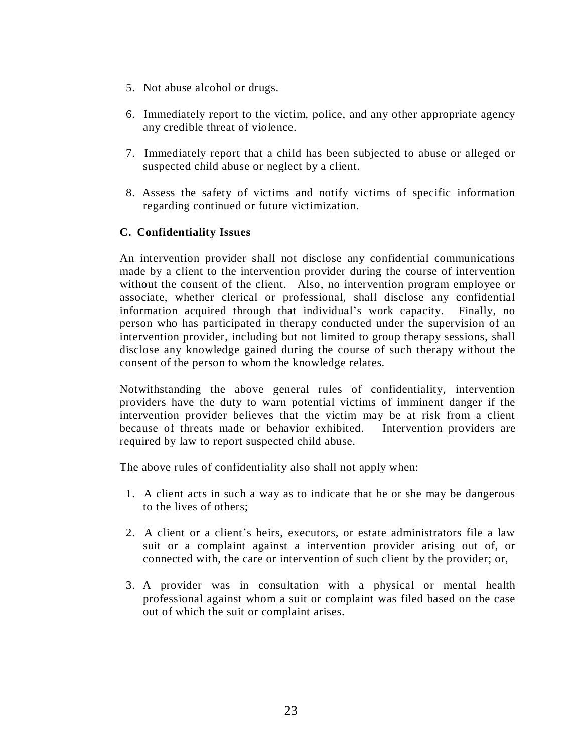- 5. Not abuse alcohol or drugs.
- 6. Immediately report to the victim, police, and any other appropriate agency any credible threat of violence.
- 7. Immediately report that a child has been subjected to abuse or alleged or suspected child abuse or neglect by a client.
- 8. Assess the safety of victims and notify victims of specific information regarding continued or future victimization.

# **C. Confidentiality Issues**

An intervention provider shall not disclose any confidential communications made by a client to the intervention provider during the course of intervention without the consent of the client. Also, no intervention program employee or associate, whether clerical or professional, shall disclose any confidential information acquired through that individual's work capacity. Finally, no person who has participated in therapy conducted under the supervision of an intervention provider, including but not limited to group therapy sessions, shall disclose any knowledge gained during the course of such therapy without the consent of the person to whom the knowledge relates.

Notwithstanding the above general rules of confidentiality, intervention providers have the duty to warn potential victims of imminent danger if the intervention provider believes that the victim may be at risk from a client because of threats made or behavior exhibited. Intervention providers are required by law to report suspected child abuse.

The above rules of confidentiality also shall not apply when:

- 1. A client acts in such a way as to indicate that he or she may be dangerous to the lives of others;
- 2. A client or a client's heirs, executors, or estate administrators file a law suit or a complaint against a intervention provider arising out of, or connected with, the care or intervention of such client by the provider; or,
- 3. A provider was in consultation with a physical or mental health professional against whom a suit or complaint was filed based on the case out of which the suit or complaint arises.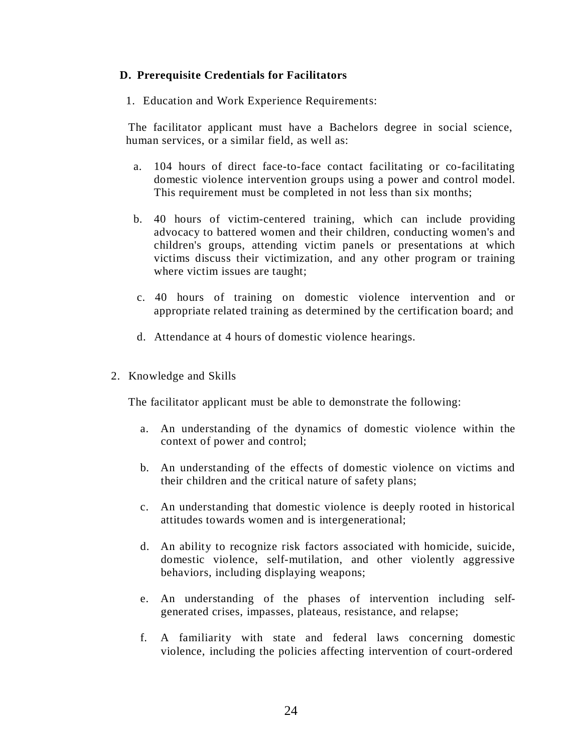# **D. Prerequisite Credentials for Facilitators**

1. Education and Work Experience Requirements:

The facilitator applicant must have a Bachelors degree in social science, human services, or a similar field, as well as:

- a. 104 hours of direct face-to-face contact facilitating or co-facilitating domestic violence intervention groups using a power and control model. This requirement must be completed in not less than six months;
- b. 40 hours of victim-centered training, which can include providing advocacy to battered women and their children, conducting women's and children's groups, attending victim panels or presentations at which victims discuss their victimization, and any other program or training where victim issues are taught;
- c. 40 hours of training on domestic violence intervention and or appropriate related training as determined by the certification board; and
- d. Attendance at 4 hours of domestic violence hearings.
- 2. Knowledge and Skills

The facilitator applicant must be able to demonstrate the following:

- a. An understanding of the dynamics of domestic violence within the context of power and control;
- b. An understanding of the effects of domestic violence on victims and their children and the critical nature of safety plans;
- c. An understanding that domestic violence is deeply rooted in historical attitudes towards women and is intergenerational;
- d. An ability to recognize risk factors associated with homicide, suicide, domestic violence, self-mutilation, and other violently aggressive behaviors, including displaying weapons;
- e. An understanding of the phases of intervention including selfgenerated crises, impasses, plateaus, resistance, and relapse;
- f. A familiarity with state and federal laws concerning domestic violence, including the policies affecting intervention of court-ordered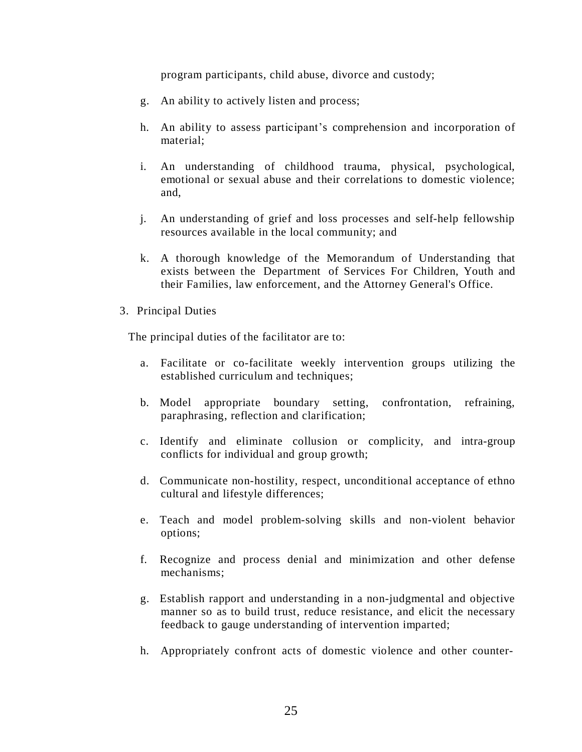program participants, child abuse, divorce and custody;

- g. An ability to actively listen and process;
- h. An ability to assess participant's comprehension and incorporation of material;
- i. An understanding of childhood trauma, physical, psychological, emotional or sexual abuse and their correlations to domestic violence; and,
- j. An understanding of grief and loss processes and self-help fellowship resources available in the local community; and
- k. A thorough knowledge of the Memorandum of Understanding that exists between the Department of Services For Children, Youth and their Families, law enforcement, and the Attorney General's Office.
- 3. Principal Duties

The principal duties of the facilitator are to:

- a. Facilitate or co-facilitate weekly intervention groups utilizing the established curriculum and techniques;
- b. Model appropriate boundary setting, confrontation, refraining, paraphrasing, reflection and clarification;
- c. Identify and eliminate collusion or complicity, and intra-group conflicts for individual and group growth;
- d. Communicate non-hostility, respect, unconditional acceptance of ethno cultural and lifestyle differences;
- e. Teach and model problem-solving skills and non-violent behavior options;
- f. Recognize and process denial and minimization and other defense mechanisms;
- g. Establish rapport and understanding in a non-judgmental and objective manner so as to build trust, reduce resistance, and elicit the necessary feedback to gauge understanding of intervention imparted;
- h. Appropriately confront acts of domestic violence and other counter-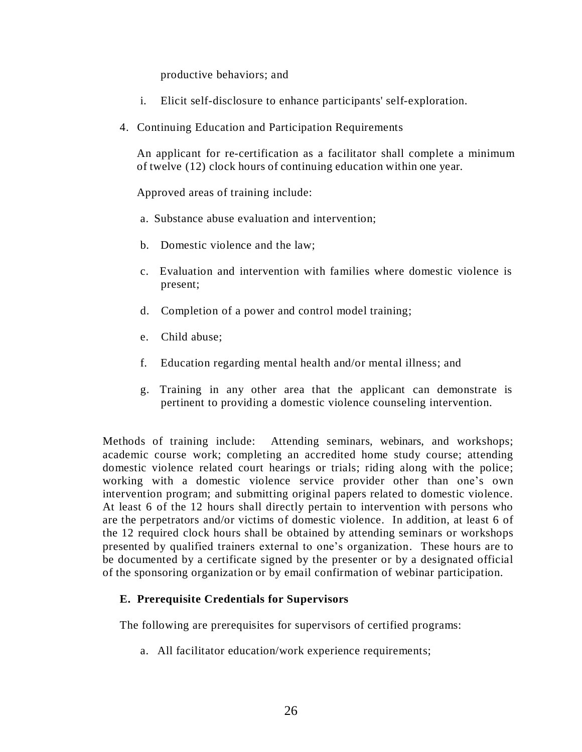productive behaviors; and

- i. Elicit self-disclosure to enhance participants' self-exploration.
- 4. Continuing Education and Participation Requirements

An applicant for re-certification as a facilitator shall complete a minimum of twelve (12) clock hours of continuing education within one year.

Approved areas of training include:

- a. Substance abuse evaluation and intervention;
- b. Domestic violence and the law;
- c. Evaluation and intervention with families where domestic violence is present;
- d. Completion of a power and control model training;
- e. Child abuse;
- f. Education regarding mental health and/or mental illness; and
- g. Training in any other area that the applicant can demonstrate is pertinent to providing a domestic violence counseling intervention.

Methods of training include: Attending seminars, webinars, and workshops; academic course work; completing an accredited home study course; attending domestic violence related court hearings or trials; riding along with the police; working with a domestic violence service provider other than one's own intervention program; and submitting original papers related to domestic violence. At least 6 of the 12 hours shall directly pertain to intervention with persons who are the perpetrators and/or victims of domestic violence. In addition, at least 6 of the 12 required clock hours shall be obtained by attending seminars or workshops presented by qualified trainers external to one's organization. These hours are to be documented by a certificate signed by the presenter or by a designated official of the sponsoring organization or by email confirmation of webinar participation.

# **E. Prerequisite Credentials for Supervisors**

The following are prerequisites for supervisors of certified programs:

a. All facilitator education/work experience requirements;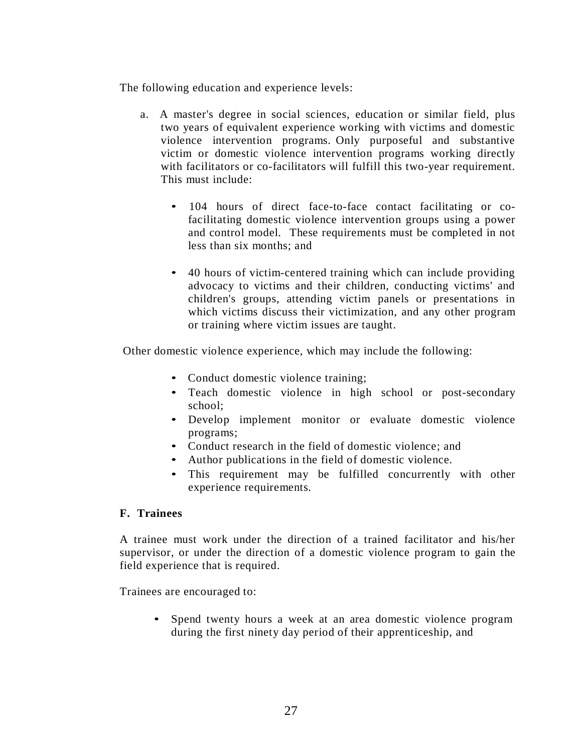The following education and experience levels:

- a. A master's degree in social sciences, education or similar field, plus two years of equivalent experience working with victims and domestic violence intervention programs. Only purposeful and substantive victim or domestic violence intervention programs working directly with facilitators or co-facilitators will fulfill this two-year requirement. This must include:
	- 104 hours of direct face-to-face contact facilitating or cofacilitating domestic violence intervention groups using a power and control model. These requirements must be completed in not less than six months; and
	- 40 hours of victim-centered training which can include providing advocacy to victims and their children, conducting victims' and children's groups, attending victim panels or presentations in which victims discuss their victimization, and any other program or training where victim issues are taught.

Other domestic violence experience, which may include the following:

- Conduct domestic violence training;
- Teach domestic violence in high school or post-secondary school;
- Develop implement monitor or evaluate domestic violence programs;
- Conduct research in the field of domestic violence; and
- Author publications in the field of domestic violence.
- This requirement may be fulfilled concurrently with other experience requirements.

#### **F. Trainees**

A trainee must work under the direction of a trained facilitator and his/her supervisor, or under the direction of a domestic violence program to gain the field experience that is required.

Trainees are encouraged to:

Spend twenty hours a week at an area domestic violence program during the first ninety day period of their apprenticeship, and